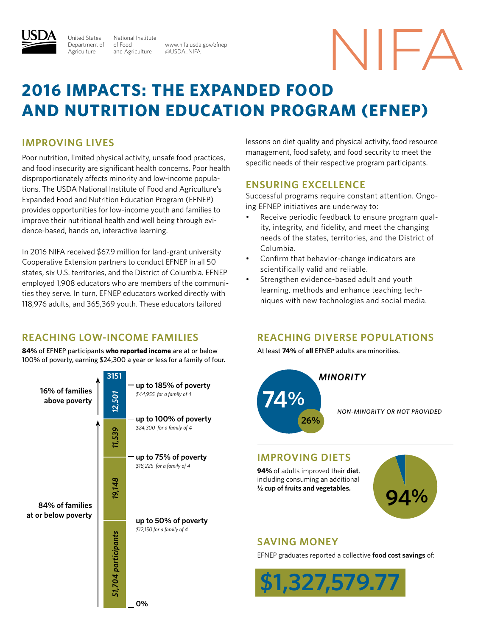

National Institute of Food and Agriculture United States Department of **Agriculture** 

www.nifa.usda.gov/efnep @USDA\_NIFA

# NIFA

### **2016 Impacts: The Expanded Food and Nutrition Education Program (EFNEP)**

#### **Improving lives**

Poor nutrition, limited physical activity, unsafe food practices, and food insecurity are significant health concerns. Poor health disproportionately affects minority and low-income populations. The USDA National Institute of Food and Agriculture's Expanded Food and Nutrition Education Program (EFNEP) provides opportunities for low-income youth and families to improve their nutritional health and well being through evidence-based, hands on, interactive learning.

In 2016 NIFA received \$67.9 million for land-grant university Cooperative Extension partners to conduct EFNEP in all 50 states, six U.S. territories, and the District of Columbia. EFNEP employed 1,908 educators who are members of the communities they serve. In turn, EFNEP educators worked directly with 118,976 adults, and 365,369 youth. These educators tailored

#### **reaching low-income families**

**84%** of EFNEP participants **who reported income** are at or below 100% of poverty, earning \$24,300 a year or less for a family of four.



lessons on diet quality and physical activity, food resource management, food safety, and food security to meet the specific needs of their respective program participants.

#### **Ensuring excellence**

Successful programs require constant attention. Ongoing EFNEP initiatives are underway to:

- Receive periodic feedback to ensure program quality, integrity, and fidelity, and meet the changing needs of the states, territories, and the District of Columbia.
- • Confirm that behavior-change indicators are scientifically valid and reliable.
- Strengthen evidence-based adult and youth learning, methods and enhance teaching techniques with new technologies and social media.

#### **reaching diverse populations**

At least **74%** of **all** EFNEP adults are minorities.



#### **improving diets**

**94%** of adults improved their **diet**, including consuming an additional **½ cup of fruits and vegetables.**



#### **saving money**

EFNEP graduates reported a collective **food cost savings** of: